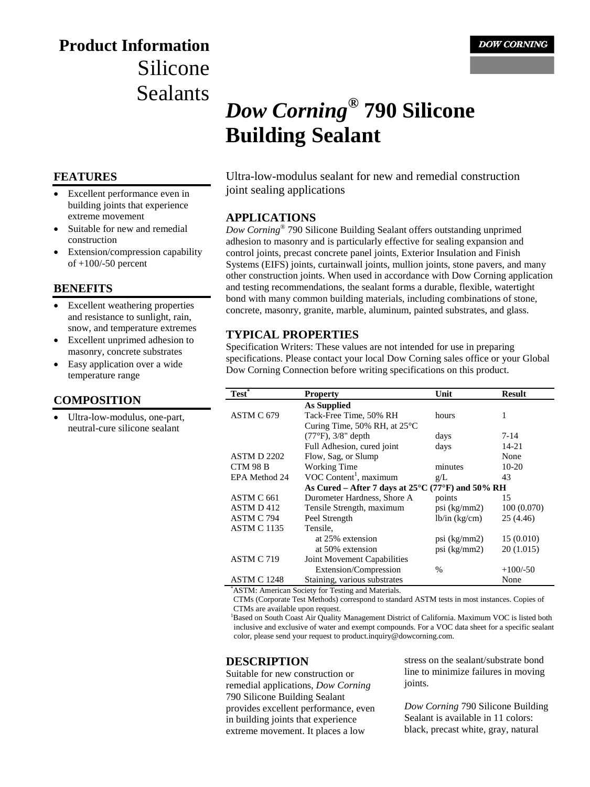## **Product Information** Silicone Sealants

#### **FEATURES**

- Excellent performance even in building joints that experience extreme movement
- Suitable for new and remedial construction
- Extension/compression capability of +100/-50 percent

#### **BENEFITS**

- Excellent weathering properties and resistance to sunlight, rain, snow, and temperature extremes
- Excellent unprimed adhesion to masonry, concrete substrates
- Easy application over a wide temperature range

#### **COMPOSITION**

Ultra-low-modulus, one-part, neutral-cure silicone sealant

# *Dow Corning***® 790 Silicone Building Sealant**

Ultra-low-modulus sealant for new and remedial construction joint sealing applications

#### **APPLICATIONS**

*Dow Corning*® 790 Silicone Building Sealant offers outstanding unprimed adhesion to masonry and is particularly effective for sealing expansion and control joints, precast concrete panel joints, Exterior Insulation and Finish Systems (EIFS) joints, curtainwall joints, mullion joints, stone pavers, and many other construction joints. When used in accordance with Dow Corning application and testing recommendations, the sealant forms a durable, flexible, watertight bond with many common building materials, including combinations of stone, concrete, masonry, granite, marble, aluminum, painted substrates, and glass.

#### **TYPICAL PROPERTIES**

Specification Writers: These values are not intended for use in preparing specifications. Please contact your local Dow Corning sales office or your Global Dow Corning Connection before writing specifications on this product.

| <b>Property</b>                                                        | Unit                              | <b>Result</b> |
|------------------------------------------------------------------------|-----------------------------------|---------------|
| <b>As Supplied</b>                                                     |                                   |               |
| Tack-Free Time, 50% RH                                                 | hours                             | 1             |
| Curing Time, 50% RH, at $25^{\circ}$ C                                 |                                   |               |
| $(77°F)$ , $3/8"$ depth                                                | days                              | 7-14          |
| Full Adhesion, cured joint                                             | days                              | 14-21         |
| Flow, Sag, or Slump                                                    |                                   | None          |
| Working Time                                                           | minutes                           | $10-20$       |
| VOC Content <sup>1</sup> , maximum                                     | g/L                               | 43            |
| As Cured – After 7 days at $25^{\circ}$ C (77 $^{\circ}$ F) and 50% RH |                                   |               |
| Durometer Hardness, Shore A                                            | points                            | 15            |
| Tensile Strength, maximum                                              | psi $(kg/mm2)$                    | 100(0.070)    |
| Peel Strength                                                          | lb/in (kg/cm)                     | 25 (4.46)     |
| Tensile,                                                               |                                   |               |
| at 25% extension                                                       | $psi$ (kg/mm2)                    | 15(0.010)     |
| at 50% extension                                                       | $psi$ (kg/mm2)                    | 20 (1.015)    |
| Joint Movement Capabilities                                            |                                   |               |
| Extension/Compression                                                  | $\%$                              | $+100/-50$    |
| Staining, various substrates                                           |                                   | None          |
|                                                                        | $\cdots$ and $\cdots$ in $\cdots$ |               |

\* ASTM: American Society for Testing and Materials.

CTMs (Corporate Test Methods) correspond to standard ASTM tests in most instances. Copies of CTMs are available upon request.

<sup>1</sup>Based on South Coast Air Quality Management District of California. Maximum VOC is listed both inclusive and exclusive of water and exempt compounds. For a VOC data sheet for a specific sealant color, please send your request to product.inquiry@dowcorning.com.

#### **DESCRIPTION**

Suitable for new construction or remedial applications, *Dow Corning* 790 Silicone Building Sealant provides excellent performance, even in building joints that experience extreme movement. It places a low

stress on the sealant/substrate bond line to minimize failures in moving joints.

*Dow Corning* 790 Silicone Building Sealant is available in 11 colors: black, precast white, gray, natural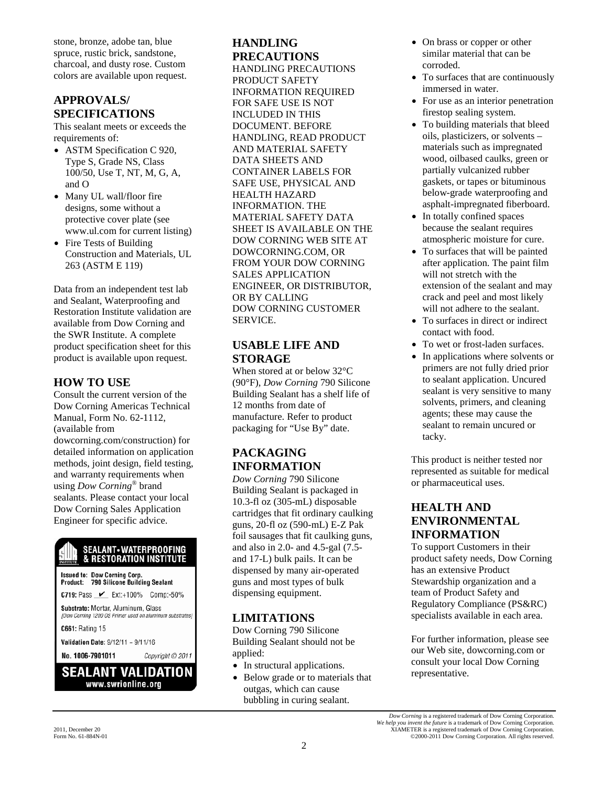stone, bronze, adobe tan, blue spruce, rustic brick, sandstone, charcoal, and dusty rose. Custom colors are available upon request.

## **APPROVALS/ SPECIFICATIONS**

This sealant meets or exceeds the requirements of:

- ASTM Specification C 920, Type S, Grade NS, Class 100/50, Use T, NT, M, G, A, and O
- Many UL wall/floor fire designs, some without a protective cover plate (see www.ul.com for current listing)
- Fire Tests of Building Construction and Materials, UL 263 (ASTM E 119)

Data from an independent test lab and Sealant, Waterproofing and Restoration Institute validation are available from Dow Corning and the SWR Institute. A complete product specification sheet for this product is available upon request.

## **HOW TO USE**

Consult the current version of the Dow Corning Americas Technical Manual, Form No. 62-1112, (available from dowcorning.com/construction) for detailed information on application methods, joint design, field testing, and warranty requirements when using *Dow Corning*® brand sealants. Please contact your local Dow Corning Sales Application Engineer for specific advice.

#### SEALANT - WATERPROOFING & RESTORATION INSTITUTE

Issued to: Dow Corning Corp.<br>Product: 790 Silicone Building Sealant

C719: Pass <u>∠</u> Ext:+100% Comp:-50%

Substrate: Mortar, Aluminum, Glass [Dow Corning 1200 OS Primer used on aluminum substrates]

C661: Rating 15

Validation Date: 9/12/11 - 9/11/16

No. 1006-7901011

## **SEALANT VALIDATION** www.swrionline.org

Copyright © 2011

## **HANDLING PRECAUTIONS**

HANDLING PRECAUTIONS PRODUCT SAFETY INFORMATION REQUIRED FOR SAFE USE IS NOT INCLUDED IN THIS DOCUMENT. BEFORE HANDLING, READ PRODUCT AND MATERIAL SAFETY DATA SHEETS AND CONTAINER LABELS FOR SAFE USE, PHYSICAL AND HEALTH HAZARD INFORMATION. THE MATERIAL SAFETY DATA SHEET IS AVAILABLE ON THE DOW CORNING WEB SITE AT DOWCORNING.COM, OR FROM YOUR DOW CORNING SALES APPLICATION ENGINEER, OR DISTRIBUTOR, OR BY CALLING DOW CORNING CUSTOMER SERVICE.

### **USABLE LIFE AND STORAGE**

When stored at or below 32°C (90°F), *Dow Corning* 790 Silicone Building Sealant has a shelf life of 12 months from date of manufacture. Refer to product packaging for "Use By" date.

## **PACKAGING INFORMATION**

*Dow Corning* 790 Silicone Building Sealant is packaged in 10.3-fl oz (305-mL) disposable cartridges that fit ordinary caulking guns, 20-fl oz (590-mL) E-Z Pak foil sausages that fit caulking guns, and also in 2.0- and 4.5-gal (7.5 and 17-L) bulk pails. It can be dispensed by many air-operated guns and most types of bulk dispensing equipment.

## **LIMITATIONS**

Dow Corning 790 Silicone Building Sealant should not be applied:

- In structural applications.
- Below grade or to materials that outgas, which can cause bubbling in curing sealant.
- On brass or copper or other similar material that can be corroded.
- To surfaces that are continuously immersed in water.
- For use as an interior penetration firestop sealing system.
- To building materials that bleed oils, plasticizers, or solvents – materials such as impregnated wood, oilbased caulks, green or partially vulcanized rubber gaskets, or tapes or bituminous below-grade waterproofing and asphalt-impregnated fiberboard.
- In totally confined spaces because the sealant requires atmospheric moisture for cure.
- To surfaces that will be painted after application. The paint film will not stretch with the extension of the sealant and may crack and peel and most likely will not adhere to the sealant.
- To surfaces in direct or indirect contact with food.
- To wet or frost-laden surfaces.
- In applications where solvents or primers are not fully dried prior to sealant application. Uncured sealant is very sensitive to many solvents, primers, and cleaning agents; these may cause the sealant to remain uncured or tacky.

This product is neither tested nor represented as suitable for medical or pharmaceutical uses.

## **HEALTH AND ENVIRONMENTAL INFORMATION**

To support Customers in their product safety needs, Dow Corning has an extensive Product Stewardship organization and a team of Product Safety and Regulatory Compliance (PS&RC) specialists available in each area.

For further information, please see our Web site, dowcorning.com or consult your local Dow Corning representative.

*Dow Corning* is a registered trademark of Dow Corning Corporation. *We help you invent the future* is a trademark of Dow Corning Corporation. 2011, December 20 XIAMETER is a registered trademark of Dow Corning Corporation.<br>
Form No. 61-884N-01 (2000-2011 Dow Corning Corporation. All rights reserved. ©2000-2011 Dow Corning Corporation. All rights reserved.